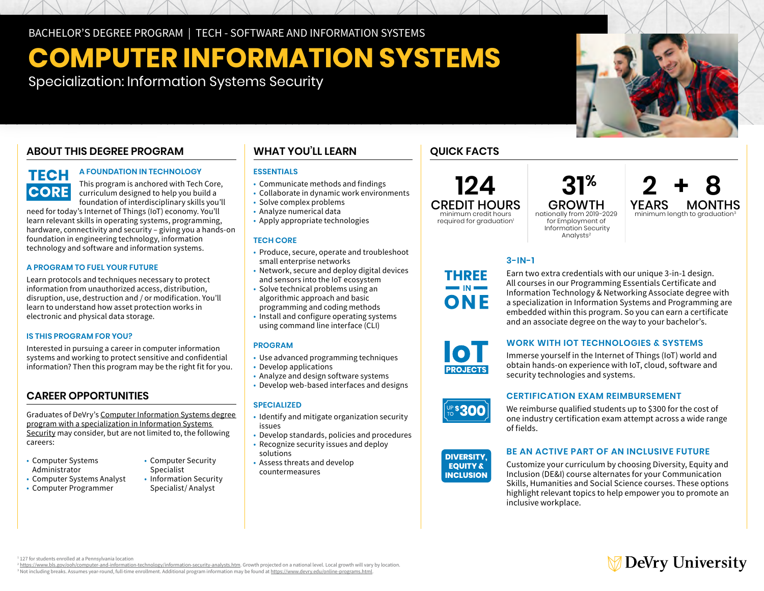# **COMPUTER INFORMATION SYSTEMS**

Specialization: Information Systems Security

# **ABOUT THIS DEGREE PROGRAM**

# **TECH CORE**

### **A FOUNDATION IN TECHNOLOGY**

This program is anchored with Tech Core, curriculum designed to help you build a foundation of interdisciplinary skills you'll

need for today's Internet of Things (IoT) economy. You'll learn relevant skills in operating systems, programming, hardware, connectivity and security – giving you a hands-on foundation in engineering technology, information technology and software and information systems.

### **A PROGRAM TO FUEL YOUR FUTURE**

Learn protocols and techniques necessary to protect information from unauthorized access, distribution, disruption, use, destruction and / or modification. You'll learn to understand how asset protection works in electronic and physical data storage.

### **IS THIS PROGRAM FOR YOU?**

Interested in pursuing a career in computer information systems and working to protect sensitive and confidential information? Then this program may be the right fit for you.

### **CAREER OPPORTUNITIES**

Graduates of DeVry's [Computer Information Systems degree](https://www.devry.edu/online-programs/bachelors-degrees/computer-information-systems/information-systems-security-specialization.html)  [program with a specialization in Information Systems](https://www.devry.edu/online-programs/bachelors-degrees/computer-information-systems/information-systems-security-specialization.html)  [Security](https://www.devry.edu/online-programs/bachelors-degrees/computer-information-systems/information-systems-security-specialization.html) may consider, but are not limited to, the following careers:

- Computer Systems
- Computer Systems Analyst Information Security
- Computer Programmer Specialist/Analyst
- Computer Security
- Administrator Specialist<br>Computer Systems Analyst Information Security

### **WHAT YOU'LL LEARN**

### **ESSENTIALS**

- Communicate methods and findings
- Collaborate in dynamic work environments
- Solve complex problems
- Analyze numerical data
- Apply appropriate technologies

### **TECH CORE**

- • Produce, secure, operate and troubleshoot small enterprise networks
- Network, secure and deploy digital devices
- • Solve technical problems using an and sensors into the IoT ecosystem
- algorithmic approach and basic programming and coding methods
- • Install and configure operating systems using command line interface (CLI)

### **PROGRAM**

- Use advanced programming techniques
- Develop applications
- Analyze and design software systems
- Develop web-based interfaces and designs

### **SPECIALIZED**

- • Identify and mitigate organization security issues
- Develop standards, policies and procedures
- • Recognize security issues and deploy solutions
- • Assess threats and develop countermeasures

### **QUICK FACTS**

## **124**  CREDIT HOURS minimum credit hours

required for graduation<sup>1</sup>

 $31<sup>%</sup>$  **2 + 8**<br>GROWTH YEARS MONTHS GROWTH YEARS MONTHS<br>onally from 2019-2029 minimum length to graduation<sup>3</sup> nationally from 2019-2029 for Employment of Information Security Analysts<sup>2</sup>

Earn two extra credentials with our unique 3-in-1 design. All courses in our Programming Essentials Certificate and Information Technology & Networking Associate degree with a specialization in Information Systems and Programming are embedded within this program. So you can earn a certificate and an associate degree on the way to your bachelor's.

### **WORK WITH IOT TECHNOLOGIES & SYSTEMS**

Immerse yourself in the Internet of Things (IoT) world and obtain hands-on experience with IoT, cloud, software and security technologies and systems.

### **CERTIFICATION EXAM REIMBURSEMENT**

We reimburse qualified students up to \$300 for the cost of one industry certification exam attempt across a wide range of fields.

#### **DIVERSITY. EQUITY & INCLUSION**

### **BE AN ACTIVE PART OF AN INCLUSIVE FUTURE**

Customize your curriculum by choosing Diversity, Equity and Inclusion (DE&I) course alternates for your Communication Skills, Humanities and Social Science courses. These options highlight relevant topics to help empower you to promote an inclusive workplace.

# **∂ DeVry University**

<sup>1</sup>127 for students enrolled at a Pennsylvania location<br><sup>2</sup> https://www.bls.gov/ooh/computer-and-information-technology/information-security-analysts.htm. Growth projected on a national level. Local growth will vary by loc <sup>3</sup> Not including breaks. Assumes year-round, full-time enrollment, Additional program information may be found at https://www.devry.edu/online-programs.html





**PS300** 

















# **3-IN-1 THREE**